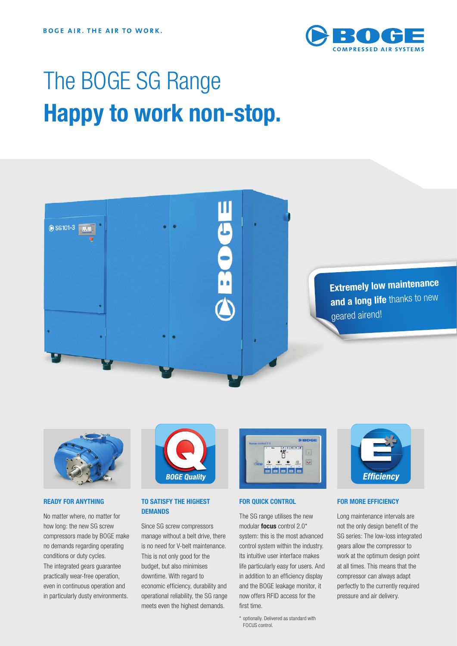

# The BOGE SG Range **Happy to work non-stop.**





# **READY FOR ANYTHING**

No matter where, no matter for how long: the new SG screw compressors made by BOGE make no demands regarding operating conditions or duty cycles. The integrated gears guarantee practically wear-free operation, even in continuous operation and in particularly dusty environments.



# **TO SATISFY THE HIGHEST DEMANDS**

Since SG screw compressors manage without a belt drive, there is no need for V-belt maintenance. This is not only good for the budget, but also minimises downtime. With regard to economic efficiency, durability and operational reliability, the SG range meets even the highest demands.



#### **FOR QUICK CONTROL**

The SG range utilises the new modular **focus** control 2.0\* system: this is the most advanced control system within the industry. Its intuitive user interface makes life particularly easy for users. And in addition to an efficiency display and the BOGE leakage monitor, it now offers RFID access for the first time.

\* optionally. Delivered as standard with FOCUS control.



#### **FOR MORE EFFICIENCY**

Long maintenance intervals are not the only design benefit of the SG series: The low-loss integrated gears allow the compressor to work at the optimum design point at all times. This means that the compressor can always adapt perfectly to the currently required pressure and air delivery.